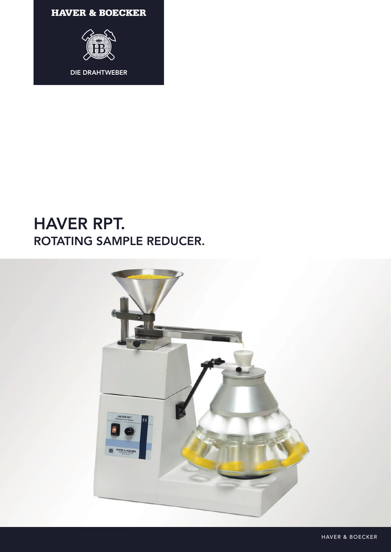**HAVER & BOECKER** 



## **HAVER RPT.** ROTATING SAMPLE REDUCER.